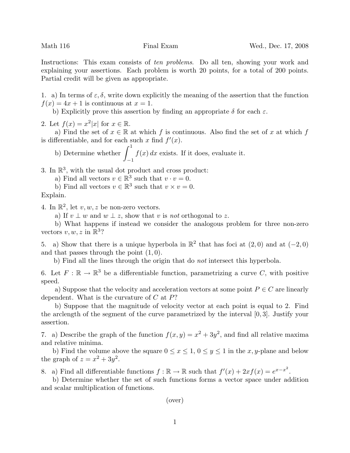Instructions: This exam consists of ten problems. Do all ten, showing your work and explaining your assertions. Each problem is worth 20 points, for a total of 200 points. Partial credit will be given as appropriate.

1. a) In terms of  $\varepsilon, \delta$ , write down explicitly the meaning of the assertion that the function  $f(x) = 4x + 1$  is continuous at  $x = 1$ .

b) Explicitly prove this assertion by finding an appropriate  $\delta$  for each  $\varepsilon$ .

2. Let  $f(x) = x^2|x|$  for  $x \in \mathbb{R}$ .

a) Find the set of  $x \in \mathbb{R}$  at which f is continuous. Also find the set of x at which f is differentiable, and for each such x find  $f'(x)$ .

b) Determine whether  $\int_1^1$ −1  $f(x) dx$  exists. If it does, evaluate it.

3. In  $\mathbb{R}^3$ , with the usual dot product and cross product:

a) Find all vectors  $v \in \mathbb{R}^3$  such that  $v \cdot v = 0$ .

b) Find all vectors  $v \in \mathbb{R}^3$  such that  $v \times v = 0$ .

Explain.

4. In  $\mathbb{R}^2$ , let  $v, w, z$  be non-zero vectors.

a) If  $v \perp w$  and  $w \perp z$ , show that v is not orthogonal to z.

b) What happens if instead we consider the analogous problem for three non-zero vectors  $v, w, z$  in  $\mathbb{R}^3$ ?

5. a) Show that there is a unique hyperbola in  $\mathbb{R}^2$  that has foci at  $(2,0)$  and at  $(-2,0)$ and that passes through the point  $(1, 0)$ .

b) Find all the lines through the origin that do not intersect this hyperbola.

6. Let  $F: \mathbb{R} \to \mathbb{R}^3$  be a differentiable function, parametrizing a curve C, with positive speed.

a) Suppose that the velocity and acceleration vectors at some point  $P \in C$  are linearly dependent. What is the curvature of  $C$  at  $P$ ?

b) Suppose that the magnitude of velocity vector at each point is equal to 2. Find the arclength of the segment of the curve parametrized by the interval [0, 3]. Justify your assertion.

7. a) Describe the graph of the function  $f(x, y) = x^2 + 3y^2$ , and find all relative maxima and relative minima.

b) Find the volume above the square  $0 \le x \le 1$ ,  $0 \le y \le 1$  in the x, y-plane and below the graph of  $z = x^2 + 3y^2$ .

8. a) Find all differentiable functions  $f : \mathbb{R} \to \mathbb{R}$  such that  $f'(x) + 2xf(x) = e^{x-x^2}$ .

b) Determine whether the set of such functions forms a vector space under addition and scalar multiplication of functions.

(over)